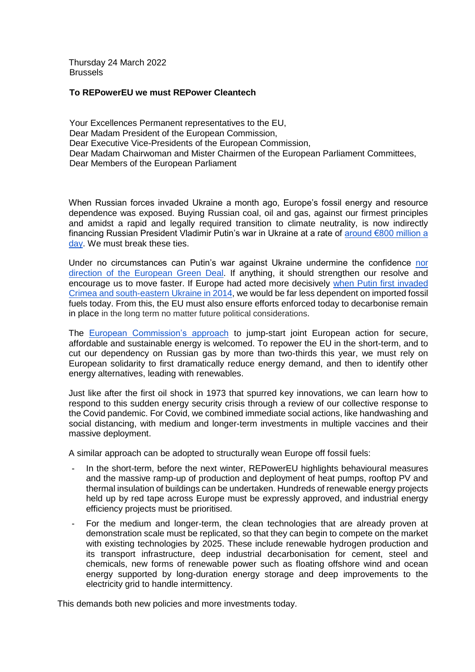Thursday 24 March 2022 Brussels

#### **To REPowerEU we must REPower Cleantech**

Your Excellences Permanent representatives to the EU, Dear Madam President of the European Commission, Dear Executive Vice-Presidents of the European Commission, Dear Madam Chairwoman and Mister Chairmen of the European Parliament Committees, Dear Members of the European Parliament

When Russian forces invaded Ukraine a month ago, Europe's fossil energy and resource dependence was exposed. Buying Russian coal, oil and gas, against our firmest principles and amidst a rapid and legally required transition to climate neutrality, is now indirectly financing Russian President Vladimir Putin's war in Ukraine at a rate of [around €800 million a](https://twitter.com/Tagliapietra_S/status/1499040914190315532)  [day.](https://twitter.com/Tagliapietra_S/status/1499040914190315532) We must break these ties.

Under no circumstances can Putin's war against Ukraine undermine the confidence [nor](https://www.corporateleadersgroup.com/news/business-groups-affirm-support-people-ukraine-and-call-eu-accelerate-europes-green-transition)  [direction of the European Green Deal.](https://www.corporateleadersgroup.com/news/business-groups-affirm-support-people-ukraine-and-call-eu-accelerate-europes-green-transition) If anything, it should strengthen our resolve and encourage us to move faster. If Europe had acted more decisively [when Putin first](https://www.europarl.europa.eu/RegData/etudes/STUD/2014/536413/EXPO_STU(2014)536413_EN.pdf) invaded [Crimea and south-eastern Ukraine in 2014,](https://www.europarl.europa.eu/RegData/etudes/STUD/2014/536413/EXPO_STU(2014)536413_EN.pdf) we would be far less dependent on imported fossil fuels today. From this, the EU must also ensure efforts enforced today to decarbonise remain in place in the long term no matter future political considerations.

The [European Commission's approach](https://eur-lex.europa.eu/legal-content/EN/TXT/?uri=COM%3A2022%3A108%3AFIN) to jump-start joint European action for secure, affordable and sustainable energy is welcomed. To repower the EU in the short-term, and to cut our dependency on Russian gas by more than two-thirds this year, we must rely on European solidarity to first dramatically reduce energy demand, and then to identify other energy alternatives, leading with renewables.

Just like after the first oil shock in 1973 that spurred key innovations, we can learn how to respond to this sudden energy security crisis through a review of our collective response to the Covid pandemic. For Covid, we combined immediate social actions, like handwashing and social distancing, with medium and longer-term investments in multiple vaccines and their massive deployment.

A similar approach can be adopted to structurally wean Europe off fossil fuels:

- In the short-term, before the next winter, REPowerEU highlights behavioural measures and the massive ramp-up of production and deployment of heat pumps, rooftop PV and thermal insulation of buildings can be undertaken. Hundreds of renewable energy projects held up by red tape across Europe must be expressly approved, and industrial energy efficiency projects must be prioritised.
- For the medium and longer-term, the clean technologies that are already proven at demonstration scale must be replicated, so that they can begin to compete on the market with existing technologies by 2025. These include renewable hydrogen production and its transport infrastructure, deep industrial decarbonisation for cement, steel and chemicals, new forms of renewable power such as floating offshore wind and ocean energy supported by long-duration energy storage and deep improvements to the electricity grid to handle intermittency.

This demands both new policies and more investments today.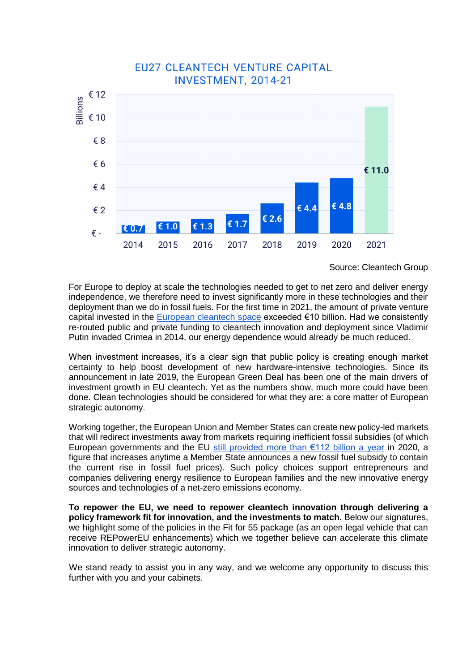

Source: Cleantech Group

For Europe to deploy at scale the technologies needed to get to net zero and deliver energy independence, we therefore need to invest significantly more in these technologies and their deployment than we do in fossil fuels. For the first time in 2021, the amount of private venture capital invested in the [European cleantech space](https://www.cleantechforeurope.com/quarterly) exceeded €10 billion. Had we consistently re-routed public and private funding to cleantech innovation and deployment since Vladimir Putin invaded Crimea in 2014, our energy dependence would already be much reduced.

When investment increases, it's a clear sign that public policy is creating enough market certainty to help boost development of new hardware-intensive technologies. Since its announcement in late 2019, the European Green Deal has been one of the main drivers of investment growth in EU cleantech. Yet as the numbers show, much more could have been done. Clean technologies should be considered for what they are: a core matter of European strategic autonomy.

Working together, the European Union and Member States can create new policy-led markets that will redirect investments away from markets requiring inefficient fossil subsidies (of which European governments and the EU still provided more than  $\epsilon$ 112 billion a year in 2020, a figure that increases anytime a Member State announces a new fossil fuel subsidy to contain the current rise in fossil fuel prices). Such policy choices support entrepreneurs and companies delivering energy resilience to European families and the new innovative energy sources and technologies of a net-zero emissions economy.

**To repower the EU, we need to repower cleantech innovation through delivering a policy framework fit for innovation, and the investments to match.** Below our signatures, we highlight some of the policies in the Fit for 55 package (as an open legal vehicle that can receive REPowerEU enhancements) which we together believe can accelerate this climate innovation to deliver strategic autonomy.

We stand ready to assist you in any way, and we welcome any opportunity to discuss this further with you and your cabinets.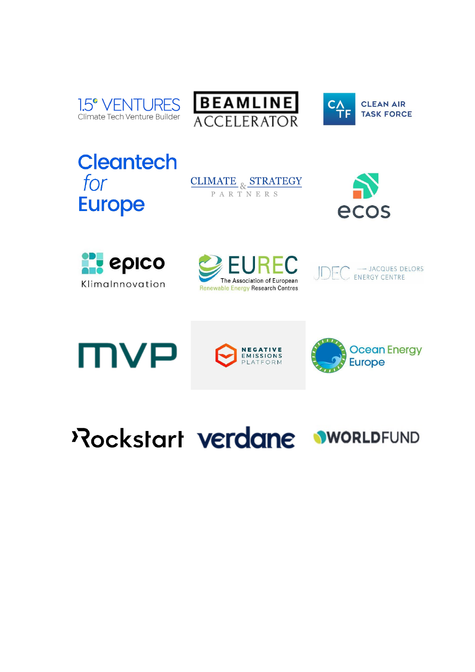





**Cleantech** for **Europe** 













Pockstart verdane wwoRLDFUND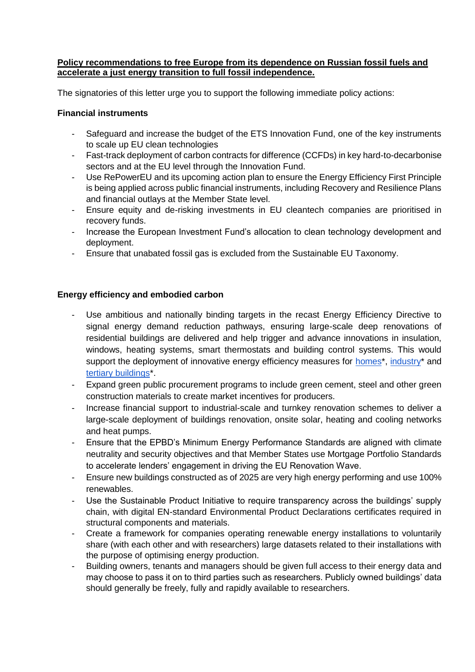#### **Policy recommendations to free Europe from its dependence on Russian fossil fuels and accelerate a just energy transition to full fossil independence.**

The signatories of this letter urge you to support the following immediate policy actions:

## **Financial instruments**

- Safeguard and increase the budget of the ETS Innovation Fund, one of the key instruments to scale up EU clean technologies
- Fast-track deployment of carbon contracts for difference (CCFDs) in key hard-to-decarbonise sectors and at the EU level through the Innovation Fund.
- Use RePowerEU and its upcoming action plan to ensure the Energy Efficiency First Principle is being applied across public financial instruments, including Recovery and Resilience Plans and financial outlays at the Member State level.
- Ensure equity and de-risking investments in EU cleantech companies are prioritised in recovery funds.
- Increase the European Investment Fund's allocation to clean technology development and deployment.
- Ensure that unabated fossil gas is excluded from the Sustainable EU Taxonomy.

## **Energy efficiency and embodied carbon**

- Use ambitious and nationally binding targets in the recast Energy Efficiency Directive to signal energy demand reduction pathways, ensuring large-scale deep renovations of residential buildings are delivered and help trigger and advance innovations in insulation, windows, heating systems, smart thermostats and building control systems. This would suppo[r](https://nam12.safelinks.protection.outlook.com/?url=https%3A%2F%2Fwoltair.com%2F&data=04%7C01%7Cjulia.reinaud%40breakthroughenergy.org%7C2de5d360a272479945fe08da0c9fd8d5%7C16940056037441ee918a557632270fe9%7C0%7C0%7C637836177923305618%7CUnknown%7CTWFpbGZsb3d8eyJWIjoiMC4wLjAwMDAiLCJQIjoiV2luMzIiLCJBTiI6Ik1haWwiLCJXVCI6Mn0%3D%7C3000&sdata=YtghkCsCbFCW6yz9VPm%2FJ%2BX3rMf3QtWDy5xhqV9gblY%3D&reserved=0)t the deployment of innovative energy efficiency measures for [homes\\*](https://nam12.safelinks.protection.outlook.com/?url=https%3A%2F%2Fwoltair.com%2F&data=04%7C01%7Cjulia.reinaud%40breakthroughenergy.org%7C2de5d360a272479945fe08da0c9fd8d5%7C16940056037441ee918a557632270fe9%7C0%7C0%7C637836177923305618%7CUnknown%7CTWFpbGZsb3d8eyJWIjoiMC4wLjAwMDAiLCJQIjoiV2luMzIiLCJBTiI6Ik1haWwiLCJXVCI6Mn0%3D%7C3000&sdata=YtghkCsCbFCW6yz9VPm%2FJ%2BX3rMf3QtWDy5xhqV9gblY%3D&reserved=0), [industry\\*](https://nam12.safelinks.protection.outlook.com/?url=https%3A%2F%2Felmodis.com%2F&data=04%7C01%7Cjulia.reinaud%40breakthroughenergy.org%7C2de5d360a272479945fe08da0c9fd8d5%7C16940056037441ee918a557632270fe9%7C0%7C0%7C637836177923305618%7CUnknown%7CTWFpbGZsb3d8eyJWIjoiMC4wLjAwMDAiLCJQIjoiV2luMzIiLCJBTiI6Ik1haWwiLCJXVCI6Mn0%3D%7C3000&sdata=07lT4tMQ%2FSpdrryJGggKc6Umk70W%2FZVjeB9w4rr0cr4%3D&reserved=0) an[d](https://nam12.safelinks.protection.outlook.com/?url=https%3A%2F%2Fwww.deepki.com%2F&data=04%7C01%7Cjulia.reinaud%40breakthroughenergy.org%7C2de5d360a272479945fe08da0c9fd8d5%7C16940056037441ee918a557632270fe9%7C0%7C0%7C637836177923305618%7CUnknown%7CTWFpbGZsb3d8eyJWIjoiMC4wLjAwMDAiLCJQIjoiV2luMzIiLCJBTiI6Ik1haWwiLCJXVCI6Mn0%3D%7C3000&sdata=Gcq3oUmS9Eb8%2FKXauG9y9tEbv4qnbAYr05on6ss4hCY%3D&reserved=0) [tertiary buildings\\*](https://nam12.safelinks.protection.outlook.com/?url=https%3A%2F%2Fwww.deepki.com%2F&data=04%7C01%7Cjulia.reinaud%40breakthroughenergy.org%7C2de5d360a272479945fe08da0c9fd8d5%7C16940056037441ee918a557632270fe9%7C0%7C0%7C637836177923305618%7CUnknown%7CTWFpbGZsb3d8eyJWIjoiMC4wLjAwMDAiLCJQIjoiV2luMzIiLCJBTiI6Ik1haWwiLCJXVCI6Mn0%3D%7C3000&sdata=Gcq3oUmS9Eb8%2FKXauG9y9tEbv4qnbAYr05on6ss4hCY%3D&reserved=0).
- Expand green public procurement programs to include green cement, steel and other green construction materials to create market incentives for producers.
- Increase financial support to industrial-scale and turnkey renovation schemes to deliver a large-scale deployment of buildings renovation, onsite solar, heating and cooling networks and heat pumps.
- Ensure that the EPBD's Minimum Energy Performance Standards are aligned with climate neutrality and security objectives and that Member States use Mortgage Portfolio Standards to accelerate lenders' engagement in driving the EU Renovation Wave.
- Ensure new buildings constructed as of 2025 are very high energy performing and use 100% renewables.
- Use the Sustainable Product Initiative to require transparency across the buildings' supply chain, with digital EN-standard Environmental Product Declarations certificates required in structural components and materials.
- Create a framework for companies operating renewable energy installations to voluntarily share (with each other and with researchers) large datasets related to their installations with the purpose of optimising energy production.
- Building owners, tenants and managers should be given full access to their energy data and may choose to pass it on to third parties such as researchers. Publicly owned buildings' data should generally be freely, fully and rapidly available to researchers.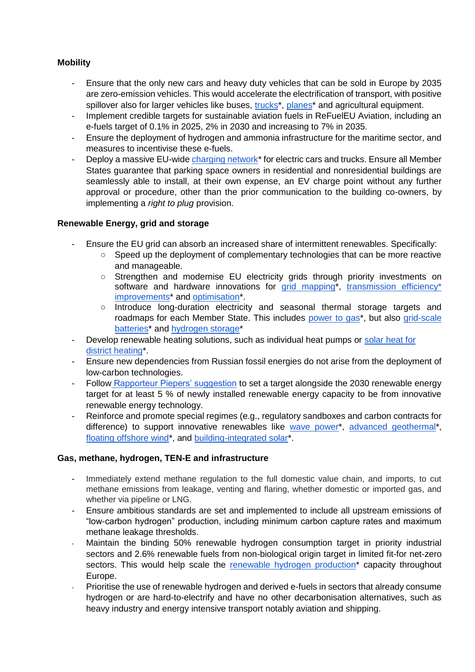# **Mobility**

- Ensure that the only new cars and heavy duty vehicles that can be sold in Europe by 2035 are zero-emission vehicles. This would accelerate the electrification of transport, with positive spillover also for larger vehicles like buses[,](https://nam12.safelinks.protection.outlook.com/?url=https%3A%2F%2Fheartaerospace.com%2F&data=04%7C01%7Cjulia.reinaud%40breakthroughenergy.org%7C2de5d360a272479945fe08da0c9fd8d5%7C16940056037441ee918a557632270fe9%7C0%7C0%7C637836177923305618%7CUnknown%7CTWFpbGZsb3d8eyJWIjoiMC4wLjAwMDAiLCJQIjoiV2luMzIiLCJBTiI6Ik1haWwiLCJXVCI6Mn0%3D%7C3000&sdata=Sfq1cNBx1PMwYK5djkY6%2BtQbXV3t%2Btj7UbrVKQEVvYc%3D&reserved=0) trucks<sup>\*</sup>, planes<sup>\*</sup> and agricultural equipment.
- Implement credible targets for sustainable aviation fuels in ReFuelEU Aviation, including an e-fuels target of 0.1% in 2025, 2% in 2030 and increasing to 7% in 2035.
- Ensure the deployment of hydrogen and ammonia infrastructure for the maritime sector, and measures to incentivise these e-fuels.
- Deploy a massive EU-wide charging network<sup>\*</sup> for electric cars and trucks. Ensure all Member States guarantee that parking space owners in residential and nonresidential buildings are seamlessly able to install, at their own expense, an EV charge point without any further approval or procedure, other than the prior communication to the building co-owners, by implementing a *right to plug* provision.

### **Renewable Energy, grid and storage**

- Ensure the EU grid can absorb an increased share of intermittent renewables. Specifically:
	- Speed up the deployment of complementary technologies that can be more reactive and manageable.
	- Strengthen and modernise EU electricity grids through priority investments on softwa[r](https://nam12.safelinks.protection.outlook.com/?url=https%3A%2F%2Flive-eo.com%2F&data=04%7C01%7Cjulia.reinaud%40breakthroughenergy.org%7C2de5d360a272479945fe08da0c9fd8d5%7C16940056037441ee918a557632270fe9%7C0%7C0%7C637836177923461856%7CUnknown%7CTWFpbGZsb3d8eyJWIjoiMC4wLjAwMDAiLCJQIjoiV2luMzIiLCJBTiI6Ik1haWwiLCJXVCI6Mn0%3D%7C3000&sdata=V9ziMFApzBsHV9M8278JvHDspGkgyPkmWVP2ANLiqDs%3D&reserved=0)e and hardware innovations for [grid mapping\\*](https://nam12.safelinks.protection.outlook.com/?url=https%3A%2F%2Flive-eo.com%2F&data=04%7C01%7Cjulia.reinaud%40breakthroughenergy.org%7C2de5d360a272479945fe08da0c9fd8d5%7C16940056037441ee918a557632270fe9%7C0%7C0%7C637836177923461856%7CUnknown%7CTWFpbGZsb3d8eyJWIjoiMC4wLjAwMDAiLCJQIjoiV2luMzIiLCJBTiI6Ik1haWwiLCJXVCI6Mn0%3D%7C3000&sdata=V9ziMFApzBsHV9M8278JvHDspGkgyPkmWVP2ANLiqDs%3D&reserved=0)[,](https://veir.com/) transmission efficiency\* [improvements\\*](https://veir.com/) and [optimisation\\*](https://nam12.safelinks.protection.outlook.com/?url=https%3A%2F%2Fenvelio.com%2Fde%2F&data=04%7C01%7Cjulia.reinaud%40breakthroughenergy.org%7C2de5d360a272479945fe08da0c9fd8d5%7C16940056037441ee918a557632270fe9%7C0%7C0%7C637836177923461856%7CUnknown%7CTWFpbGZsb3d8eyJWIjoiMC4wLjAwMDAiLCJQIjoiV2luMzIiLCJBTiI6Ik1haWwiLCJXVCI6Mn0%3D%7C3000&sdata=Mz4gxHKSGgb9po%2F06GyGNXmkUPRtkEyZNZ12GDyOfhc%3D&reserved=0).
	- Introduce long-duration electricity and seasonal thermal storage targets and roadmap[s](https://nam12.safelinks.protection.outlook.com/?url=https%3A%2F%2Fwww.electrochaea.com%2F&data=04%7C01%7Cjulia.reinaud%40breakthroughenergy.org%7C2de5d360a272479945fe08da0c9fd8d5%7C16940056037441ee918a557632270fe9%7C0%7C0%7C637836177923305618%7CUnknown%7CTWFpbGZsb3d8eyJWIjoiMC4wLjAwMDAiLCJQIjoiV2luMzIiLCJBTiI6Ik1haWwiLCJXVCI6Mn0%3D%7C3000&sdata=KcEab7fH%2FS61qMC%2BgQTytbf7cEJf2vNVI1uiJWQFaJ8%3D&reserved=0) for each Member State. This includes [power to gas\\*](https://nam12.safelinks.protection.outlook.com/?url=https%3A%2F%2Fwww.electrochaea.com%2F&data=04%7C01%7Cjulia.reinaud%40breakthroughenergy.org%7C2de5d360a272479945fe08da0c9fd8d5%7C16940056037441ee918a557632270fe9%7C0%7C0%7C637836177923305618%7CUnknown%7CTWFpbGZsb3d8eyJWIjoiMC4wLjAwMDAiLCJQIjoiV2luMzIiLCJBTiI6Ik1haWwiLCJXVCI6Mn0%3D%7C3000&sdata=KcEab7fH%2FS61qMC%2BgQTytbf7cEJf2vNVI1uiJWQFaJ8%3D&reserved=0), but als[o](https://nam12.safelinks.protection.outlook.com/?url=https%3A%2F%2Fwww.elestor.nl%2F&data=04%7C01%7Cjulia.reinaud%40breakthroughenergy.org%7C2de5d360a272479945fe08da0c9fd8d5%7C16940056037441ee918a557632270fe9%7C0%7C0%7C637836177923461856%7CUnknown%7CTWFpbGZsb3d8eyJWIjoiMC4wLjAwMDAiLCJQIjoiV2luMzIiLCJBTiI6Ik1haWwiLCJXVCI6Mn0%3D%7C3000&sdata=IWjUt%2BRZO%2FlsOiwrlYPjS%2FzgkalSAdOcFY95%2B%2Baux8Q%3D&reserved=0) grid-scale [batteries\\*](https://nam12.safelinks.protection.outlook.com/?url=https%3A%2F%2Fwww.elestor.nl%2F&data=04%7C01%7Cjulia.reinaud%40breakthroughenergy.org%7C2de5d360a272479945fe08da0c9fd8d5%7C16940056037441ee918a557632270fe9%7C0%7C0%7C637836177923461856%7CUnknown%7CTWFpbGZsb3d8eyJWIjoiMC4wLjAwMDAiLCJQIjoiV2luMzIiLCJBTiI6Ik1haWwiLCJXVCI6Mn0%3D%7C3000&sdata=IWjUt%2BRZO%2FlsOiwrlYPjS%2FzgkalSAdOcFY95%2B%2Baux8Q%3D&reserved=0) an[d](https://nam12.safelinks.protection.outlook.com/?url=https%3A%2F%2Fwww.homepowersolutions.de%2Fen%2F&data=04%7C01%7Cjulia.reinaud%40breakthroughenergy.org%7C2de5d360a272479945fe08da0c9fd8d5%7C16940056037441ee918a557632270fe9%7C0%7C0%7C637836177923461856%7CUnknown%7CTWFpbGZsb3d8eyJWIjoiMC4wLjAwMDAiLCJQIjoiV2luMzIiLCJBTiI6Ik1haWwiLCJXVCI6Mn0%3D%7C3000&sdata=lOuqd%2F8%2BmVI5IwRt3IG9FHgXBdgQJHi%2BclJIWNhx7%2B4%3D&reserved=0) [hydrogen storage\\*](https://nam12.safelinks.protection.outlook.com/?url=https%3A%2F%2Fwww.homepowersolutions.de%2Fen%2F&data=04%7C01%7Cjulia.reinaud%40breakthroughenergy.org%7C2de5d360a272479945fe08da0c9fd8d5%7C16940056037441ee918a557632270fe9%7C0%7C0%7C637836177923461856%7CUnknown%7CTWFpbGZsb3d8eyJWIjoiMC4wLjAwMDAiLCJQIjoiV2luMzIiLCJBTiI6Ik1haWwiLCJXVCI6Mn0%3D%7C3000&sdata=lOuqd%2F8%2BmVI5IwRt3IG9FHgXBdgQJHi%2BclJIWNhx7%2B4%3D&reserved=0)
- Develop [r](https://nam12.safelinks.protection.outlook.com/?url=https%3A%2F%2Fnewheat.com%2Fen%2F&data=04%7C01%7Cjulia.reinaud%40breakthroughenergy.org%7C2de5d360a272479945fe08da0c9fd8d5%7C16940056037441ee918a557632270fe9%7C0%7C0%7C637836177923305618%7CUnknown%7CTWFpbGZsb3d8eyJWIjoiMC4wLjAwMDAiLCJQIjoiV2luMzIiLCJBTiI6Ik1haWwiLCJXVCI6Mn0%3D%7C3000&sdata=yDNcmWmonRmsVG3irwbE78xa8Yqu%2FRBXGOjtps50Vww%3D&reserved=0)enewable heating solutions, such as individual heat pumps or solar heat for [district heating\\*](https://nam12.safelinks.protection.outlook.com/?url=https%3A%2F%2Fnewheat.com%2Fen%2F&data=04%7C01%7Cjulia.reinaud%40breakthroughenergy.org%7C2de5d360a272479945fe08da0c9fd8d5%7C16940056037441ee918a557632270fe9%7C0%7C0%7C637836177923305618%7CUnknown%7CTWFpbGZsb3d8eyJWIjoiMC4wLjAwMDAiLCJQIjoiV2luMzIiLCJBTiI6Ik1haWwiLCJXVCI6Mn0%3D%7C3000&sdata=yDNcmWmonRmsVG3irwbE78xa8Yqu%2FRBXGOjtps50Vww%3D&reserved=0).
- Ensure new dependencies from Russian fossil energies do not arise from the deployment of low-carbon technologies.
- Follow [Rapporteur Piepers' suggestion](https://www.europarl.europa.eu/doceo/document/ITRE-PR-719550_EN.pdf#page=25) to set a target alongside the 2030 renewable energy target for at least 5 % of newly installed renewable energy capacity to be from innovative renewable energy technology.
- Reinforce and promote special regimes (e.g., regulatory sandboxes and carbon contracts for difference) to support innovative renewables lik[e](https://nam12.safelinks.protection.outlook.com/?url=https%3A%2F%2Fwww.corpowerocean.com%2F&data=04%7C01%7Cjulia.reinaud%40breakthroughenergy.org%7C2de5d360a272479945fe08da0c9fd8d5%7C16940056037441ee918a557632270fe9%7C0%7C0%7C637836177923305618%7CUnknown%7CTWFpbGZsb3d8eyJWIjoiMC4wLjAwMDAiLCJQIjoiV2luMzIiLCJBTiI6Ik1haWwiLCJXVCI6Mn0%3D%7C3000&sdata=Khx6ggUEUpFHxmmN0ID6Ukjw8wsdCIMdjw7Fx3QI9To%3D&reserved=0) [wave power\\*](https://nam12.safelinks.protection.outlook.com/?url=https%3A%2F%2Fwww.corpowerocean.com%2F&data=04%7C01%7Cjulia.reinaud%40breakthroughenergy.org%7C2de5d360a272479945fe08da0c9fd8d5%7C16940056037441ee918a557632270fe9%7C0%7C0%7C637836177923305618%7CUnknown%7CTWFpbGZsb3d8eyJWIjoiMC4wLjAwMDAiLCJQIjoiV2luMzIiLCJBTiI6Ik1haWwiLCJXVCI6Mn0%3D%7C3000&sdata=Khx6ggUEUpFHxmmN0ID6Ukjw8wsdCIMdjw7Fx3QI9To%3D&reserved=0)[,](https://nam12.safelinks.protection.outlook.com/?url=https%3A%2F%2Fi3connect.com%2Fcompany%2Fbaseload-capital&data=04%7C01%7Cjulia.reinaud%40breakthroughenergy.org%7C2de5d360a272479945fe08da0c9fd8d5%7C16940056037441ee918a557632270fe9%7C0%7C0%7C637836177923305618%7CUnknown%7CTWFpbGZsb3d8eyJWIjoiMC4wLjAwMDAiLCJQIjoiV2luMzIiLCJBTiI6Ik1haWwiLCJXVCI6Mn0%3D%7C3000&sdata=h2IwQQRhbws9lNkq06b%2BVvtb1WQG73X3Rit4y%2FZEUk0%3D&reserved=0) [advanced geothermal\\*](https://nam12.safelinks.protection.outlook.com/?url=https%3A%2F%2Fi3connect.com%2Fcompany%2Fbaseload-capital&data=04%7C01%7Cjulia.reinaud%40breakthroughenergy.org%7C2de5d360a272479945fe08da0c9fd8d5%7C16940056037441ee918a557632270fe9%7C0%7C0%7C637836177923305618%7CUnknown%7CTWFpbGZsb3d8eyJWIjoiMC4wLjAwMDAiLCJQIjoiV2luMzIiLCJBTiI6Ik1haWwiLCJXVCI6Mn0%3D%7C3000&sdata=h2IwQQRhbws9lNkq06b%2BVvtb1WQG73X3Rit4y%2FZEUk0%3D&reserved=0)[,](https://nam12.safelinks.protection.outlook.com/?url=https%3A%2F%2Fwww.bw-ideol.com%2Fen&data=04%7C01%7Cjulia.reinaud%40breakthroughenergy.org%7C2de5d360a272479945fe08da0c9fd8d5%7C16940056037441ee918a557632270fe9%7C0%7C0%7C637836177923305618%7CUnknown%7CTWFpbGZsb3d8eyJWIjoiMC4wLjAwMDAiLCJQIjoiV2luMzIiLCJBTiI6Ik1haWwiLCJXVCI6Mn0%3D%7C3000&sdata=P7nRY4yuy7ciNvhmg4OEBc8g%2BS8ItB2EverlgPoJhC4%3D&reserved=0) [floating offshore wind\\*](https://nam12.safelinks.protection.outlook.com/?url=https%3A%2F%2Fwww.bw-ideol.com%2Fen&data=04%7C01%7Cjulia.reinaud%40breakthroughenergy.org%7C2de5d360a272479945fe08da0c9fd8d5%7C16940056037441ee918a557632270fe9%7C0%7C0%7C637836177923305618%7CUnknown%7CTWFpbGZsb3d8eyJWIjoiMC4wLjAwMDAiLCJQIjoiV2luMzIiLCJBTiI6Ik1haWwiLCJXVCI6Mn0%3D%7C3000&sdata=P7nRY4yuy7ciNvhmg4OEBc8g%2BS8ItB2EverlgPoJhC4%3D&reserved=0), an[d](https://nam12.safelinks.protection.outlook.com/?url=https%3A%2F%2Froofit.solar%2F&data=04%7C01%7Cjulia.reinaud%40breakthroughenergy.org%7C2de5d360a272479945fe08da0c9fd8d5%7C16940056037441ee918a557632270fe9%7C0%7C0%7C637836177923305618%7CUnknown%7CTWFpbGZsb3d8eyJWIjoiMC4wLjAwMDAiLCJQIjoiV2luMzIiLCJBTiI6Ik1haWwiLCJXVCI6Mn0%3D%7C3000&sdata=YYFFkWWFsSmYT4FZYVerLNsf9YFiAMIWpBSBOui9NGk%3D&reserved=0) [building-integrated solar\\*](https://nam12.safelinks.protection.outlook.com/?url=https%3A%2F%2Froofit.solar%2F&data=04%7C01%7Cjulia.reinaud%40breakthroughenergy.org%7C2de5d360a272479945fe08da0c9fd8d5%7C16940056037441ee918a557632270fe9%7C0%7C0%7C637836177923305618%7CUnknown%7CTWFpbGZsb3d8eyJWIjoiMC4wLjAwMDAiLCJQIjoiV2luMzIiLCJBTiI6Ik1haWwiLCJXVCI6Mn0%3D%7C3000&sdata=YYFFkWWFsSmYT4FZYVerLNsf9YFiAMIWpBSBOui9NGk%3D&reserved=0).

### **Gas, methane, hydrogen, TEN-E and infrastructure**

- Immediately extend methane regulation to the full domestic value chain, and imports, to cut methane emissions from leakage, venting and flaring, whether domestic or imported gas, and whether via pipeline or LNG.
- Ensure ambitious standards are set and implemented to include all upstream emissions of "low-carbon hydrogen" production, including minimum carbon capture rates and maximum methane leakage thresholds.
- Maintain the binding 50% renewable hydrogen consumption target in priority industrial sectors and 2.6% renewable fuels from non-biological origin target in limited fit-for net-zero sectors. This would help scale the [renewable hydrogen production\\*](https://nam12.safelinks.protection.outlook.com/?url=https%3A%2F%2Fwww.sunfire.de%2Fen%2F&data=04%7C01%7Cjulia.reinaud%40breakthroughenergy.org%7C2de5d360a272479945fe08da0c9fd8d5%7C16940056037441ee918a557632270fe9%7C0%7C0%7C637836177923305618%7CUnknown%7CTWFpbGZsb3d8eyJWIjoiMC4wLjAwMDAiLCJQIjoiV2luMzIiLCJBTiI6Ik1haWwiLCJXVCI6Mn0%3D%7C3000&sdata=GYKMjtEynK5RjlnMnX2AonebZosIeDk69Eky%2BxxCDyI%3D&reserved=0) capacity throughout Europe.
- Prioritise the use of renewable hydrogen and derived e-fuels in sectors that already consume hydrogen or are hard-to-electrify and have no other decarbonisation alternatives, such as heavy industry and energy intensive transport notably aviation and shipping.